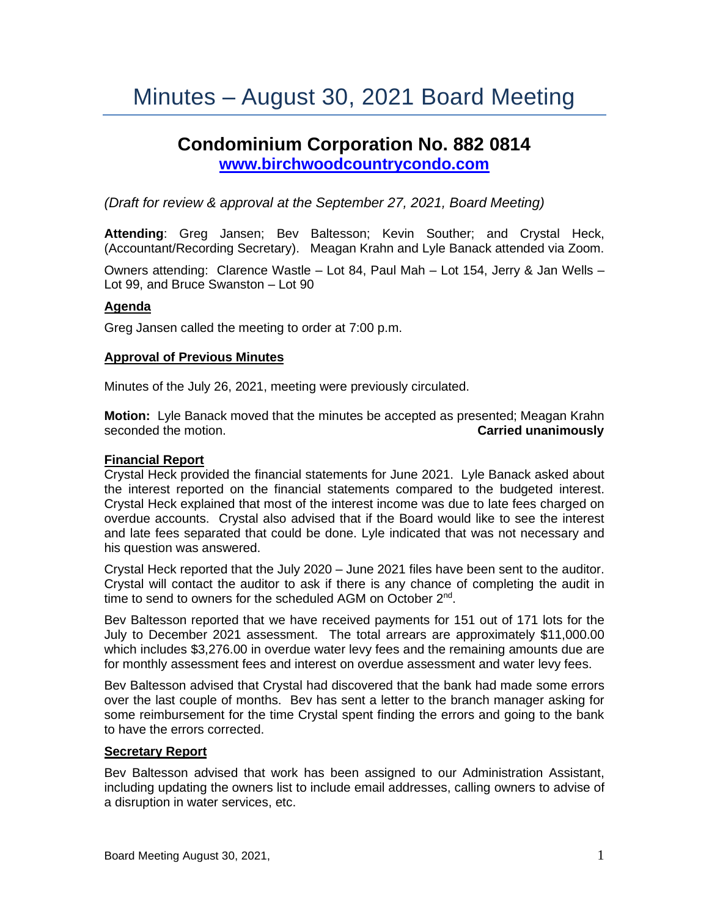# Minutes – August 30, 2021 Board Meeting

## **Condominium Corporation No. 882 0814 [www.birchwoodcountrycondo.com](http://www.birchwoodcountrycondo.com/)**

*(Draft for review & approval at the September 27, 2021, Board Meeting)*

**Attending**: Greg Jansen; Bev Baltesson; Kevin Souther; and Crystal Heck, (Accountant/Recording Secretary). Meagan Krahn and Lyle Banack attended via Zoom.

Owners attending: Clarence Wastle – Lot 84, Paul Mah – Lot 154, Jerry & Jan Wells – Lot 99, and Bruce Swanston – Lot 90

#### **Agenda**

Greg Jansen called the meeting to order at 7:00 p.m.

#### **Approval of Previous Minutes**

Minutes of the July 26, 2021, meeting were previously circulated.

**Motion:** Lyle Banack moved that the minutes be accepted as presented; Meagan Krahn seconded the motion. **Carried unanimously**

#### **Financial Report**

Crystal Heck provided the financial statements for June 2021. Lyle Banack asked about the interest reported on the financial statements compared to the budgeted interest. Crystal Heck explained that most of the interest income was due to late fees charged on overdue accounts. Crystal also advised that if the Board would like to see the interest and late fees separated that could be done. Lyle indicated that was not necessary and his question was answered.

Crystal Heck reported that the July 2020 – June 2021 files have been sent to the auditor. Crystal will contact the auditor to ask if there is any chance of completing the audit in time to send to owners for the scheduled AGM on October 2<sup>nd</sup>.

Bev Baltesson reported that we have received payments for 151 out of 171 lots for the July to December 2021 assessment. The total arrears are approximately \$11,000.00 which includes \$3,276.00 in overdue water levy fees and the remaining amounts due are for monthly assessment fees and interest on overdue assessment and water levy fees.

Bev Baltesson advised that Crystal had discovered that the bank had made some errors over the last couple of months. Bev has sent a letter to the branch manager asking for some reimbursement for the time Crystal spent finding the errors and going to the bank to have the errors corrected.

#### **Secretary Report**

Bev Baltesson advised that work has been assigned to our Administration Assistant, including updating the owners list to include email addresses, calling owners to advise of a disruption in water services, etc.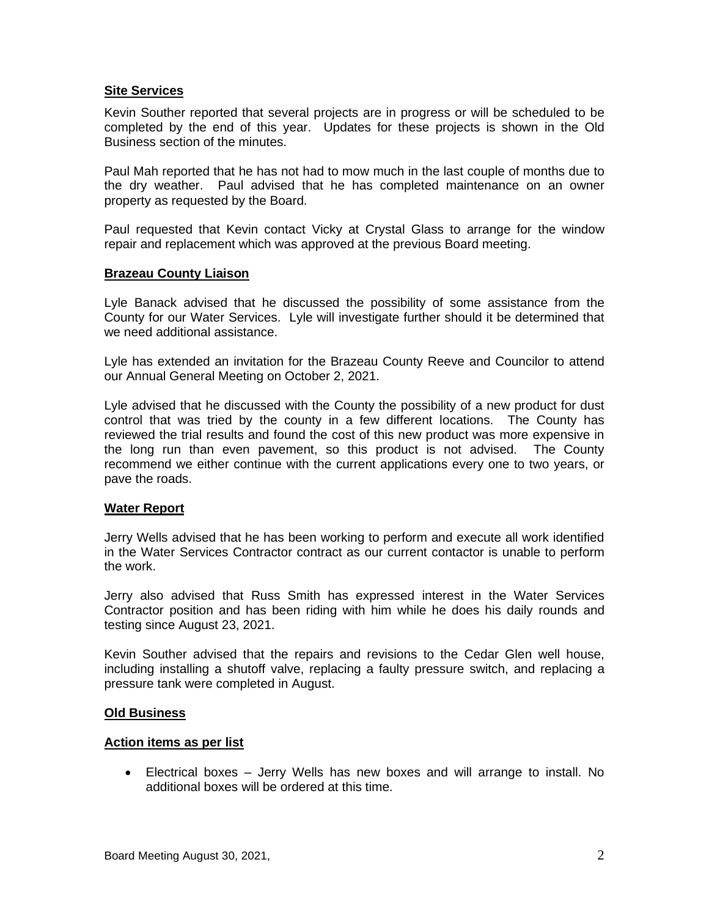#### **Site Services**

Kevin Souther reported that several projects are in progress or will be scheduled to be completed by the end of this year. Updates for these projects is shown in the Old Business section of the minutes.

Paul Mah reported that he has not had to mow much in the last couple of months due to the dry weather. Paul advised that he has completed maintenance on an owner property as requested by the Board.

Paul requested that Kevin contact Vicky at Crystal Glass to arrange for the window repair and replacement which was approved at the previous Board meeting.

#### **Brazeau County Liaison**

Lyle Banack advised that he discussed the possibility of some assistance from the County for our Water Services. Lyle will investigate further should it be determined that we need additional assistance.

Lyle has extended an invitation for the Brazeau County Reeve and Councilor to attend our Annual General Meeting on October 2, 2021.

Lyle advised that he discussed with the County the possibility of a new product for dust control that was tried by the county in a few different locations. The County has reviewed the trial results and found the cost of this new product was more expensive in the long run than even pavement, so this product is not advised. The County recommend we either continue with the current applications every one to two years, or pave the roads.

#### **Water Report**

Jerry Wells advised that he has been working to perform and execute all work identified in the Water Services Contractor contract as our current contactor is unable to perform the work.

Jerry also advised that Russ Smith has expressed interest in the Water Services Contractor position and has been riding with him while he does his daily rounds and testing since August 23, 2021.

Kevin Souther advised that the repairs and revisions to the Cedar Glen well house, including installing a shutoff valve, replacing a faulty pressure switch, and replacing a pressure tank were completed in August.

#### **Old Business**

#### **Action items as per list**

• Electrical boxes – Jerry Wells has new boxes and will arrange to install. No additional boxes will be ordered at this time.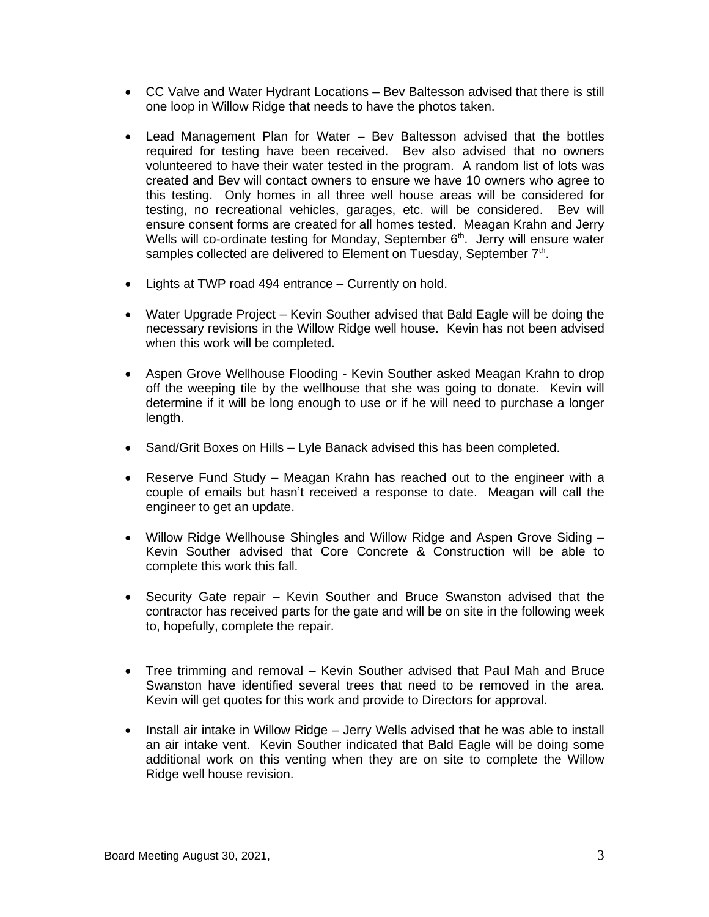- CC Valve and Water Hydrant Locations Bev Baltesson advised that there is still one loop in Willow Ridge that needs to have the photos taken.
- Lead Management Plan for Water Bev Baltesson advised that the bottles required for testing have been received. Bev also advised that no owners volunteered to have their water tested in the program. A random list of lots was created and Bev will contact owners to ensure we have 10 owners who agree to this testing. Only homes in all three well house areas will be considered for testing, no recreational vehicles, garages, etc. will be considered. Bev will ensure consent forms are created for all homes tested. Meagan Krahn and Jerry Wells will co-ordinate testing for Monday, September 6<sup>th</sup>. Jerry will ensure water samples collected are delivered to Element on Tuesday, September 7<sup>th</sup>.
- Lights at TWP road 494 entrance Currently on hold.
- Water Upgrade Project Kevin Souther advised that Bald Eagle will be doing the necessary revisions in the Willow Ridge well house. Kevin has not been advised when this work will be completed.
- Aspen Grove Wellhouse Flooding Kevin Souther asked Meagan Krahn to drop off the weeping tile by the wellhouse that she was going to donate. Kevin will determine if it will be long enough to use or if he will need to purchase a longer length.
- Sand/Grit Boxes on Hills Lyle Banack advised this has been completed.
- Reserve Fund Study Meagan Krahn has reached out to the engineer with a couple of emails but hasn't received a response to date. Meagan will call the engineer to get an update.
- Willow Ridge Wellhouse Shingles and Willow Ridge and Aspen Grove Siding Kevin Souther advised that Core Concrete & Construction will be able to complete this work this fall.
- Security Gate repair Kevin Souther and Bruce Swanston advised that the contractor has received parts for the gate and will be on site in the following week to, hopefully, complete the repair.
- Tree trimming and removal Kevin Souther advised that Paul Mah and Bruce Swanston have identified several trees that need to be removed in the area. Kevin will get quotes for this work and provide to Directors for approval.
- Install air intake in Willow Ridge Jerry Wells advised that he was able to install an air intake vent. Kevin Souther indicated that Bald Eagle will be doing some additional work on this venting when they are on site to complete the Willow Ridge well house revision.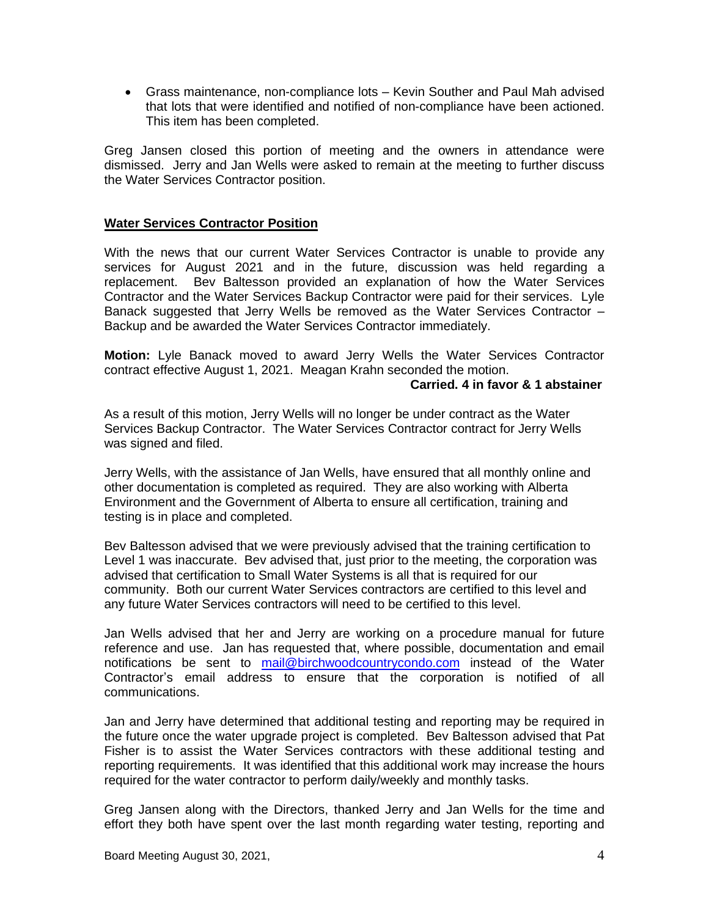• Grass maintenance, non-compliance lots – Kevin Souther and Paul Mah advised that lots that were identified and notified of non-compliance have been actioned. This item has been completed.

Greg Jansen closed this portion of meeting and the owners in attendance were dismissed. Jerry and Jan Wells were asked to remain at the meeting to further discuss the Water Services Contractor position.

#### **Water Services Contractor Position**

With the news that our current Water Services Contractor is unable to provide any services for August 2021 and in the future, discussion was held regarding a replacement. Bev Baltesson provided an explanation of how the Water Services Contractor and the Water Services Backup Contractor were paid for their services. Lyle Banack suggested that Jerry Wells be removed as the Water Services Contractor – Backup and be awarded the Water Services Contractor immediately.

**Motion:** Lyle Banack moved to award Jerry Wells the Water Services Contractor contract effective August 1, 2021. Meagan Krahn seconded the motion.

#### **Carried. 4 in favor & 1 abstainer**

As a result of this motion, Jerry Wells will no longer be under contract as the Water Services Backup Contractor. The Water Services Contractor contract for Jerry Wells was signed and filed.

Jerry Wells, with the assistance of Jan Wells, have ensured that all monthly online and other documentation is completed as required. They are also working with Alberta Environment and the Government of Alberta to ensure all certification, training and testing is in place and completed.

Bev Baltesson advised that we were previously advised that the training certification to Level 1 was inaccurate. Bev advised that, just prior to the meeting, the corporation was advised that certification to Small Water Systems is all that is required for our community. Both our current Water Services contractors are certified to this level and any future Water Services contractors will need to be certified to this level.

Jan Wells advised that her and Jerry are working on a procedure manual for future reference and use. Jan has requested that, where possible, documentation and email notifications be sent to [mail@birchwoodcountrycondo.com](mailto:mail@birchwoodcountrycondo.com) instead of the Water Contractor's email address to ensure that the corporation is notified of all communications.

Jan and Jerry have determined that additional testing and reporting may be required in the future once the water upgrade project is completed. Bev Baltesson advised that Pat Fisher is to assist the Water Services contractors with these additional testing and reporting requirements. It was identified that this additional work may increase the hours required for the water contractor to perform daily/weekly and monthly tasks.

Greg Jansen along with the Directors, thanked Jerry and Jan Wells for the time and effort they both have spent over the last month regarding water testing, reporting and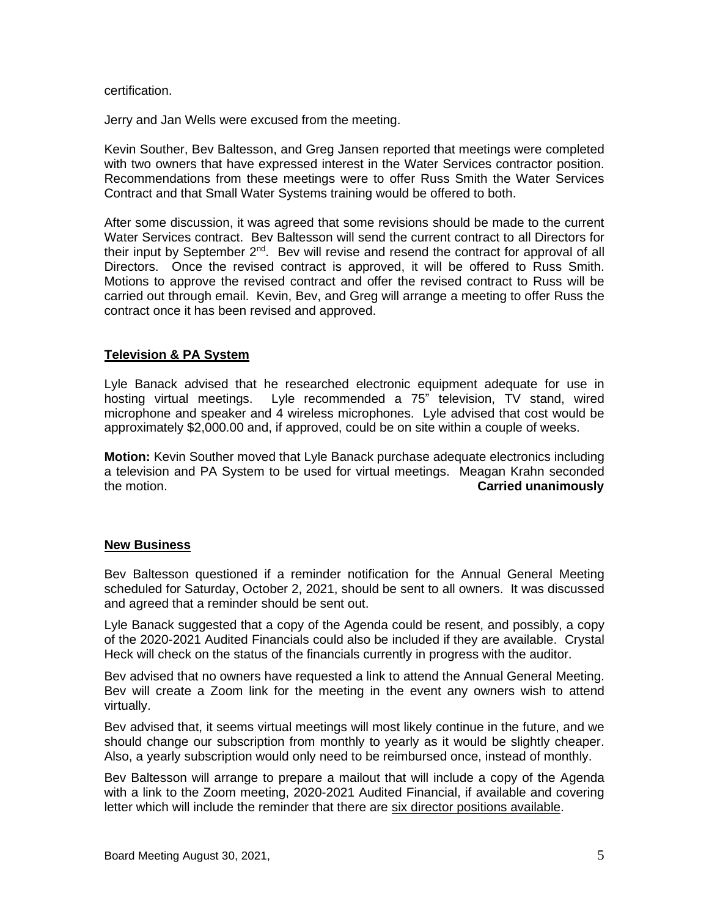#### certification.

Jerry and Jan Wells were excused from the meeting.

Kevin Souther, Bev Baltesson, and Greg Jansen reported that meetings were completed with two owners that have expressed interest in the Water Services contractor position. Recommendations from these meetings were to offer Russ Smith the Water Services Contract and that Small Water Systems training would be offered to both.

After some discussion, it was agreed that some revisions should be made to the current Water Services contract. Bev Baltesson will send the current contract to all Directors for their input by September 2<sup>nd</sup>. Bev will revise and resend the contract for approval of all Directors. Once the revised contract is approved, it will be offered to Russ Smith. Motions to approve the revised contract and offer the revised contract to Russ will be carried out through email. Kevin, Bev, and Greg will arrange a meeting to offer Russ the contract once it has been revised and approved.

#### **Television & PA System**

Lyle Banack advised that he researched electronic equipment adequate for use in hosting virtual meetings. Lyle recommended a 75" television, TV stand, wired microphone and speaker and 4 wireless microphones. Lyle advised that cost would be approximately \$2,000.00 and, if approved, could be on site within a couple of weeks.

**Motion:** Kevin Souther moved that Lyle Banack purchase adequate electronics including a television and PA System to be used for virtual meetings. Meagan Krahn seconded the motion. **Carried unanimously**

#### **New Business**

Bev Baltesson questioned if a reminder notification for the Annual General Meeting scheduled for Saturday, October 2, 2021, should be sent to all owners. It was discussed and agreed that a reminder should be sent out.

Lyle Banack suggested that a copy of the Agenda could be resent, and possibly, a copy of the 2020-2021 Audited Financials could also be included if they are available. Crystal Heck will check on the status of the financials currently in progress with the auditor.

Bev advised that no owners have requested a link to attend the Annual General Meeting. Bev will create a Zoom link for the meeting in the event any owners wish to attend virtually.

Bev advised that, it seems virtual meetings will most likely continue in the future, and we should change our subscription from monthly to yearly as it would be slightly cheaper. Also, a yearly subscription would only need to be reimbursed once, instead of monthly.

Bev Baltesson will arrange to prepare a mailout that will include a copy of the Agenda with a link to the Zoom meeting, 2020-2021 Audited Financial, if available and covering letter which will include the reminder that there are six director positions available.